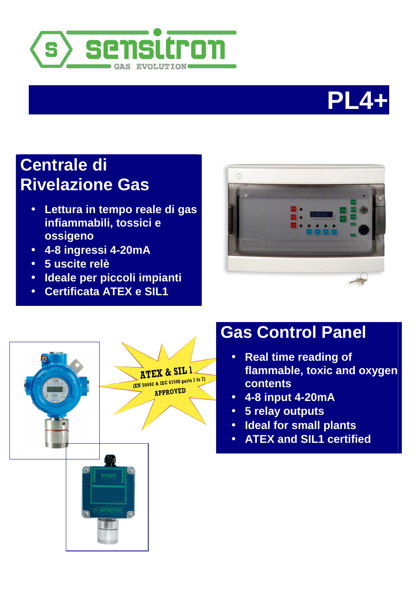



# **Centrale di Rivelazione Gas**

- **Lettura in tempo reale di gas infiammabili, tossici e ossigeno**
- **4-8 ingressi 4-20mA**
- **5 uscite relè**
- **Ideale per piccoli impianti**
- **Certificata ATEX e SIL1**





# **Gas Control Panel**

- **Real time reading of flammable, toxic and oxygen contents**
- **4-8 input 4-20mA**
- **5 relay outputs**
- **Ideal for small plants**
- **ATEX and SIL1 certified**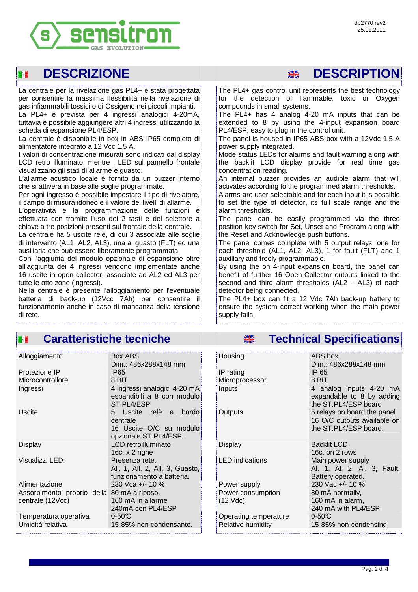

### 醫習

La centrale per la rivelazione gas PL4+ è stata progettata per consentire la massima flessibilità nella rivelazione di gas infiammabili tossici o di Ossigeno nei piccoli impianti.

La PL4+ è prevista per 4 ingressi analogici 4-20mA, tuttavia è possibile aggiungere altri 4 ingressi utilizzando la scheda di espansione PL4/ESP.

La centrale è disponibile in box in ABS IP65 completo di alimentatore integrato a 12 Vcc 1.5 A.

I valori di concentrazione misurati sono indicati dal display LCD retro illuminato, mentre i LED sul pannello frontale visualizzano gli stati di allarme e guasto.

L'allarme acustico locale è fornito da un buzzer interno che si attiverà in base alle soglie programmate.

Per ogni ingresso è possibile impostare il tipo di rivelatore, il campo di misura idoneo e il valore dei livelli di allarme.

L'operatività e la programmazione delle funzioni è effettuata con tramite l'uso dei 2 tasti e del selettore a chiave a tre posizioni presenti sul frontale della centrale.

La centrale ha 5 uscite relè, di cui 3 associate alle soglie di intervento (AL1, AL2, AL3), una al guasto (FLT) ed una ausiliaria che può essere liberamente programmata.

Con l'aggiunta del modulo opzionale di espansione oltre all'aggiunta dei 4 ingressi vengono implementate anche 16 uscite in open collector, associate ad AL2 ed AL3 per tutte le otto zone (ingressi).

Nella centrale è presente l'alloggiamento per l'eventuale batteria di back-up (12Vcc 7Ah) per consentire il funzionamento anche in caso di mancanza della tensione di rete.

## **DESCRIZIONE DESCRIPTION**

 The PL4+ gas control unit represents the best technology for the detection of flammable, toxic or Oxygen compounds in small systems.

The PL4+ has 4 analog 4-20 mA inputs that can be extended to 8 by using the 4-input expansion board PL4/ESP, easy to plug in the control unit.

The panel is housed in IP65 ABS box with a 12Vdc 1.5 A power supply integrated.

Mode status LEDs for alarms and fault warning along with the backlit LCD display provide for real time gas concentration reading.

An internal buzzer provides an audible alarm that will activates according to the programmed alarm thresholds.

Alarms are user selectable and for each input it is possible to set the type of detector, its full scale range and the alarm thresholds.

The panel can be easily programmed via the three position key-switch for Set, Unset and Program along with the Reset and Acknowledge push buttons.

The panel comes complete with 5 output relays: one for each threshold (AL1, AL2, AL3), 1 for fault (FLT) and 1 auxiliary and freely programmable.

By using the on 4-input expansion board, the panel can benefit of further 16 Open-Collector outputs linked to the second and third alarm thresholds  $(AL2 - AL3)$  of each detector being connected.

The PL4+ box can fit a 12 Vdc 7Ah back-up battery to ensure the system correct working when the main power supply fails.

#### **EXECUTE: IN Caratteristiche tecniche Technical Specifications**

| Alloggiamento                              | Box ABS                                          | Housing                | ABS box                                               |
|--------------------------------------------|--------------------------------------------------|------------------------|-------------------------------------------------------|
|                                            | Dim.: 486x288x148 mm                             |                        | Dim.: 486x288x148 mm                                  |
| Protezione IP                              | <b>IP65</b>                                      | IP rating              | IP 65                                                 |
| Microcontrollore                           | 8 BIT                                            | Microprocessor         | 8 BIT                                                 |
| Ingressi                                   | 4 ingressi analogici 4-20 mA                     | Inputs                 | 4 analog inputs 4-20                                  |
|                                            | espandibili a 8 con modulo<br>ST.PL4/ESP         |                        | expandable to 8 by add<br>the ST.PL4/ESP board        |
| <b>Uscite</b>                              | 5 Uscite relè a<br>bordo<br>centrale             | Outputs                | 5 relays on board the par<br>16 O/C outputs available |
|                                            | 16 Uscite O/C su modulo<br>opzionale ST.PL4/ESP. |                        | the ST.PL4/ESP board.                                 |
| <b>Display</b>                             | LCD retroilluminato                              | <b>Display</b>         | <b>Backlit LCD</b>                                    |
|                                            | 16c. $x$ 2 righe                                 |                        | 16c. on 2 rows                                        |
| Visualizz. LED:                            | Presenza rete,                                   | <b>LED</b> indications | Main power supply                                     |
|                                            | All. 1, All. 2, All. 3, Guasto,                  |                        | Al. 1, Al. 2, Al. 3, Fa                               |
|                                            | funzionamento a batteria.                        |                        | Battery operated.                                     |
| Alimentazione                              | 230 Vca +/- 10 %                                 | Power supply           | 230 Vac +/- 10 %                                      |
| Assorbimento proprio della 80 mA a riposo, |                                                  | Power consumption      | 80 mA normally,                                       |
| centrale (12Vcc)                           | 160 mA in allarme<br>240mA con PL4/ESP           | $(12 \text{ Vdc})$     | 160 mA in alarm,<br>240 mA with PL4/ESP               |
| Temperatura operativa                      | $0-50C$                                          | Operating temperature  | $0-50C$                                               |
| Umidità relativa                           | 15-85% non condensante.                          | Relative humidity      | 15-85% non-condensing                                 |
|                                            |                                                  |                        |                                                       |

| Housing                | ABS box                      |  |  |
|------------------------|------------------------------|--|--|
|                        | Dim.: 486x288x148 mm         |  |  |
| IP rating              | IP 65                        |  |  |
| Microprocessor         | 8 BIT                        |  |  |
| Inputs                 | 4 analog inputs 4-20 mA      |  |  |
|                        | expandable to 8 by adding    |  |  |
|                        | the ST.PL4/ESP board         |  |  |
| Outputs                | 5 relays on board the panel. |  |  |
|                        | 16 O/C outputs available on  |  |  |
|                        | the ST.PL4/ESP board.        |  |  |
|                        |                              |  |  |
| Display                | <b>Backlit LCD</b>           |  |  |
|                        | 16c. on 2 rows               |  |  |
| <b>LED</b> indications | Main power supply            |  |  |
|                        | Al. 1, Al. 2, Al. 3, Fault,  |  |  |
|                        | Battery operated.            |  |  |
| Power supply           | 230 Vac +/- 10 %             |  |  |
| Power consumption      | 80 mA normally,              |  |  |
| $(12 \text{ Vdc})$     | 160 mA in alarm,             |  |  |
|                        | 240 mA with PL4/ESP          |  |  |
| Operating temperature  | $0-50C$                      |  |  |
| Relative humidity      | 15-85% non-condensing        |  |  |
|                        |                              |  |  |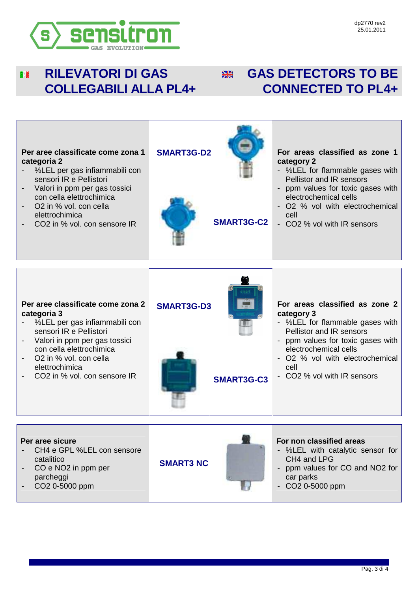

#### **RILEVATORI DI GAS**  图像 **COLLEGABILI ALLA PL4+**

## **EXECTED AS DETECTORS TO BE CONNECTED TO PL4+**



- %LEL per gas infiammabili con sensori IR e Pellistori
- Valori in ppm per gas tossici con cella elettrochimica
- O2 in % vol. con cella elettrochimica
- CO2 in % vol. con sensore IR **SMART3G-C3**



- %LEL for flammable gases with Pellistor and IR sensors
- ppm values for toxic gases with electrochemical cells
- O2 % vol with electrochemical cell
- CO2 % vol with IR sensors

**Per aree sicure**  CH4 e GPL %LEL con sensore catalitico CO e NO<sub>2</sub> in ppm per parcheggi - CO2 0-5000 ppm **SMART3 NC For non classified areas**  - %LEL with catalytic sensor for CH4 and LPG - ppm values for CO and NO2 for car parks - CO2 0-5000 ppm